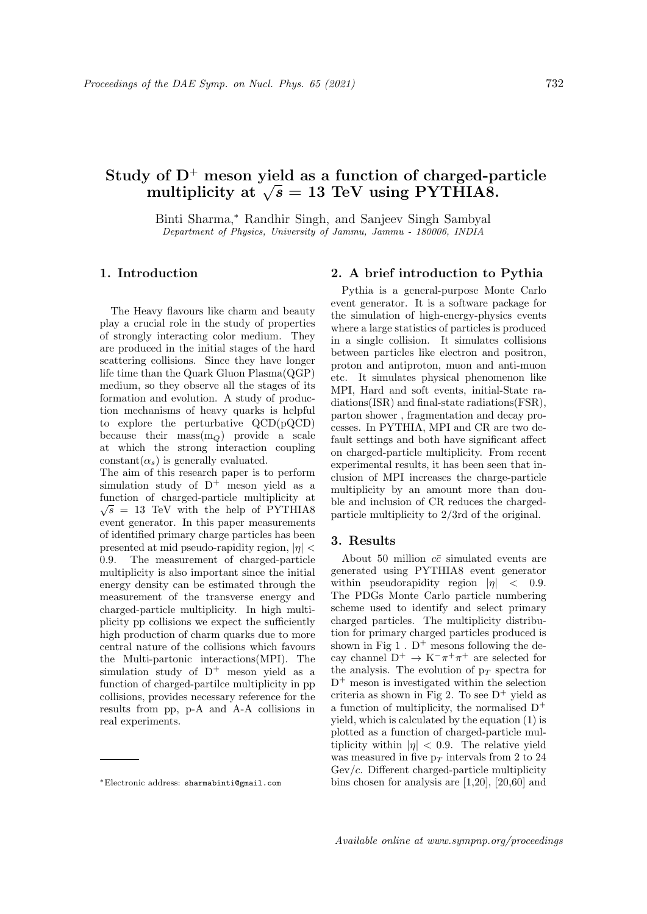# Study of  $D^+$  meson yield as a function of charged-particle *r* or  $D^+$  meson yield as a function of charged-p<br>multiplicity at  $\sqrt{s} = 13 \text{ TeV}$  using PYTHIA8.

Binti Sharma,<sup>∗</sup> Randhir Singh, and Sanjeev Singh Sambyal Department of Physics, University of Jammu, Jammu - 180006, INDIA

### 1. Introduction

The Heavy flavours like charm and beauty play a crucial role in the study of properties of strongly interacting color medium. They are produced in the initial stages of the hard scattering collisions. Since they have longer life time than the Quark Gluon Plasma(QGP) medium, so they observe all the stages of its formation and evolution. A study of production mechanisms of heavy quarks is helpful to explore the perturbative QCD(pQCD) because their mass $(m<sub>O</sub>)$  provide a scale at which the strong interaction coupling constant( $\alpha_s$ ) is generally evaluated.

The aim of this research paper is to perform simulation study of  $D^+$  meson yield as a function of charged-particle multiplicity at  $\sqrt{s}$  = 13 TeV with the help of PYTHIA8 event generator. In this paper measurements of identified primary charge particles has been presented at mid pseudo-rapidity region,  $|\eta|$  < 0.9. The measurement of charged-particle multiplicity is also important since the initial energy density can be estimated through the measurement of the transverse energy and charged-particle multiplicity. In high multiplicity pp collisions we expect the sufficiently high production of charm quarks due to more central nature of the collisions which favours the Multi-partonic interactions(MPI). The simulation study of  $D^+$  meson yield as a function of charged-partilce multiplicity in pp collisions, provides necessary reference for the results from pp, p-A and A-A collisions in real experiments.

## 2. A brief introduction to Pythia

Pythia is a general-purpose Monte Carlo event generator. It is a software package for the simulation of high-energy-physics events where a large statistics of particles is produced in a single collision. It simulates collisions between particles like electron and positron, proton and antiproton, muon and anti-muon etc. It simulates physical phenomenon like MPI, Hard and soft events, initial-State radiations(ISR) and final-state radiations(FSR), parton shower , fragmentation and decay processes. In PYTHIA, MPI and CR are two default settings and both have significant affect on charged-particle multiplicity. From recent experimental results, it has been seen that inclusion of MPI increases the charge-particle multiplicity by an amount more than double and inclusion of CR reduces the chargedparticle multiplicity to 2/3rd of the original.

#### 3. Results

About 50 million  $c\bar{c}$  simulated events are generated using PYTHIA8 event generator within pseudorapidity region  $|\eta| < 0.9$ . The PDGs Monte Carlo particle numbering scheme used to identify and select primary charged particles. The multiplicity distribution for primary charged particles produced is shown in Fig  $1 \cdot D^+$  mesons following the decay channel  $D^+ \to K^-\pi^+\pi^+$  are selected for the analysis. The evolution of  $p_T$  spectra for  $D^+$  meson is investigated within the selection criteria as shown in Fig 2. To see  $D^+$  yield as a function of multiplicity, the normalised  $D^+$ yield, which is calculated by the equation (1) is plotted as a function of charged-particle multiplicity within  $|\eta| < 0.9$ . The relative yield was measured in five  $p_T$  intervals from 2 to 24  $Gev/c$ . Different charged-particle multiplicity bins chosen for analysis are [1,20], [20,60] and

<sup>∗</sup>Electronic address: sharmabinti@gmail.com